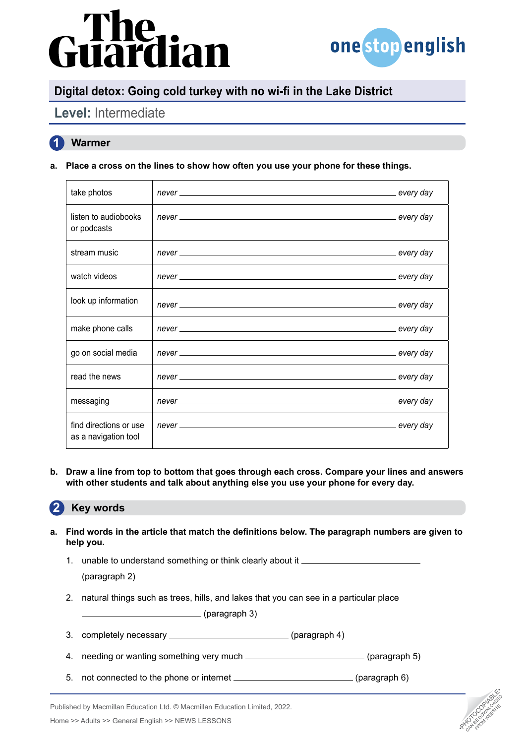# dian



**PHOTOCOPIABLE** CAN BE DOWNLOAD FROM WEBSITE

# **Digital detox: Going cold turkey with no wi-fi in the Lake District**

# **Level:** Intermediate

### **1 Warmer**

**a. Place a cross on the lines to show how often you use your phone for these things.**

| take photos                                    |  |
|------------------------------------------------|--|
| listen to audiobooks<br>or podcasts            |  |
| stream music                                   |  |
| watch videos                                   |  |
| look up information                            |  |
| make phone calls                               |  |
| go on social media                             |  |
| read the news                                  |  |
| messaging                                      |  |
| find directions or use<br>as a navigation tool |  |

**b. Draw a line from top to bottom that goes through each cross. Compare your lines and answers with other students and talk about anything else you use your phone for every day.**

#### **2 Key words**

- **a. Find words in the article that match the definitions below. The paragraph numbers are given to help you.**
	- 1. unable to understand something or think clearly about it (paragraph 2)
	- 2. natural things such as trees, hills, and lakes that you can see in a particular place

(paragraph 3)

- 3. completely necessary \_\_\_\_\_\_\_\_\_\_\_\_\_\_\_\_\_\_\_\_\_\_\_\_\_\_\_\_\_\_\_(paragraph 4)
- 4. needing or wanting something very much \_\_\_\_\_\_\_\_\_\_\_\_\_\_\_\_\_\_\_\_\_\_\_\_\_(paragraph 5)
- 5. not connected to the phone or internet \_\_\_\_\_\_\_\_\_\_\_\_\_\_\_\_\_\_\_\_\_\_\_\_\_\_\_\_\_(paragraph 6)



Home >> Adults >> General English >> NEWS LESSONS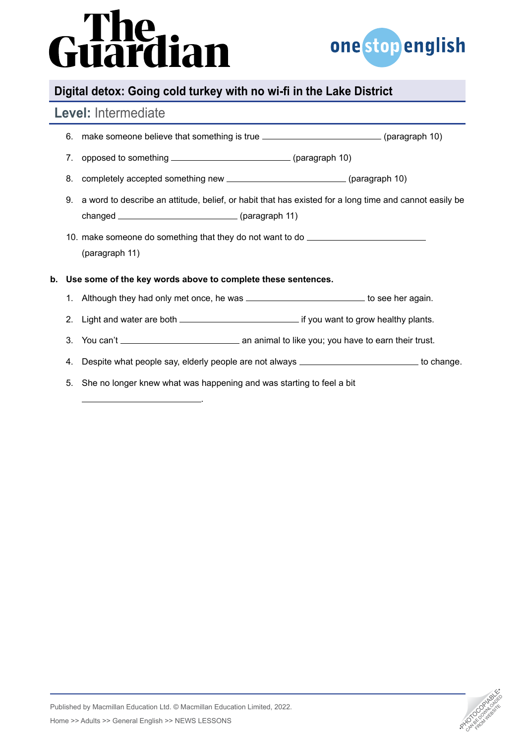# Guardian



# **Digital detox: Going cold turkey with no wi-fi in the Lake District**

## **Level:** Intermediate

|    |    | 6. make someone believe that something is true __________________________(paragraph 10)                   |  |  |  |  |  |
|----|----|-----------------------------------------------------------------------------------------------------------|--|--|--|--|--|
|    | 7. |                                                                                                           |  |  |  |  |  |
|    | 8. | completely accepted something new _______________________________(paragraph 10)                           |  |  |  |  |  |
|    |    | 9. a word to describe an attitude, belief, or habit that has existed for a long time and cannot easily be |  |  |  |  |  |
|    |    | 10. make someone do something that they do not want to do ______________________<br>(paragraph 11)        |  |  |  |  |  |
| b. |    | Use some of the key words above to complete these sentences.                                              |  |  |  |  |  |
|    |    | 1. Although they had only met once, he was ______________________________to see her again.                |  |  |  |  |  |
|    |    |                                                                                                           |  |  |  |  |  |
|    | 3. |                                                                                                           |  |  |  |  |  |
|    | 4. | Despite what people say, elderly people are not always __________________________ to change.              |  |  |  |  |  |
|    | 5. | She no longer knew what was happening and was starting to feel a bit                                      |  |  |  |  |  |
|    |    |                                                                                                           |  |  |  |  |  |

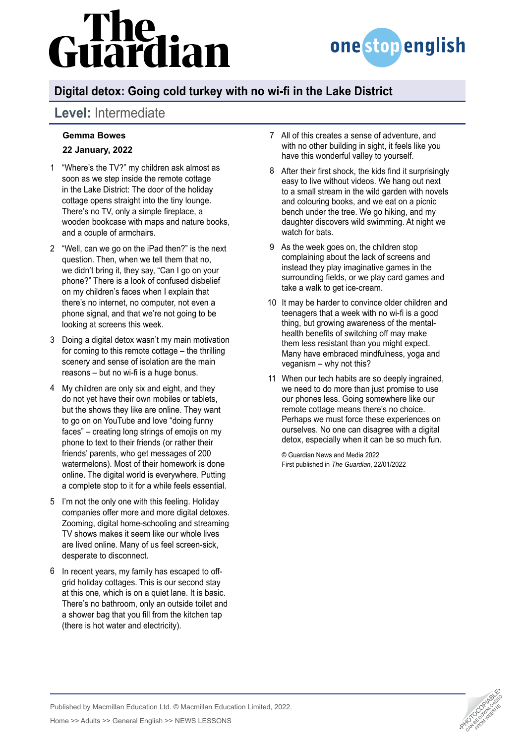# lian



# **Digital detox: Going cold turkey with no wi-fi in the Lake District**

# **Level:** Intermediate

### **Gemma Bowes 22 January, 2022**

- "Where's the TV?" my children ask almost as 1 soon as we step inside the remote cottage in the Lake District: The door of the holiday cottage opens straight into the tiny lounge. There's no TV, only a simple fireplace, a wooden bookcase with maps and nature books, and a couple of armchairs.
- "Well, can we go on the iPad then?" is the next 2 question. Then, when we tell them that no, we didn't bring it, they say, "Can I go on your phone?" There is a look of confused disbelief on my children's faces when I explain that there's no internet, no computer, not even a phone signal, and that we're not going to be looking at screens this week.
- Doing a digital detox wasn't my main motivation 3 for coming to this remote cottage – the thrilling scenery and sense of isolation are the main reasons – but no wi-fi is a huge bonus.
- My children are only six and eight, and they 4 do not yet have their own mobiles or tablets, but the shows they like are online. They want to go on on YouTube and love "doing funny faces" – creating long strings of emojis on my phone to text to their friends (or rather their friends' parents, who get messages of 200 watermelons). Most of their homework is done online. The digital world is everywhere. Putting a complete stop to it for a while feels essential.
- 5 I'm not the only one with this feeling. Holiday companies offer more and more digital detoxes. Zooming, digital home-schooling and streaming TV shows makes it seem like our whole lives are lived online. Many of us feel screen-sick, desperate to disconnect.
- 6 In recent years, my family has escaped to offgrid holiday cottages. This is our second stay at this one, which is on a quiet lane. It is basic. There's no bathroom, only an outside toilet and a shower bag that you fill from the kitchen tap (there is hot water and electricity).
- All of this creates a sense of adventure, and 7 with no other building in sight, it feels like you have this wonderful valley to yourself.
- After their first shock, the kids find it surprisingly 8 easy to live without videos. We hang out next to a small stream in the wild garden with novels and colouring books, and we eat on a picnic bench under the tree. We go hiking, and my daughter discovers wild swimming. At night we watch for bats.
- As the week goes on, the children stop 9 complaining about the lack of screens and instead they play imaginative games in the surrounding fields, or we play card games and take a walk to get ice-cream.
- 10 It may be harder to convince older children and teenagers that a week with no wi-fi is a good thing, but growing awareness of the mentalhealth benefits of switching off may make them less resistant than you might expect. Many have embraced mindfulness, yoga and veganism – why not this?
- When our tech habits are so deeply ingrained, 11we need to do more than just promise to use our phones less. Going somewhere like our remote cottage means there's no choice. Perhaps we must force these experiences on ourselves. No one can disagree with a digital detox, especially when it can be so much fun.

© Guardian News and Media 2022 First published in *The Guardian*, 22/01/2022



Published by Macmillan Education Ltd. © Macmillan Education Limited, 2022.

Home >> Adults >> General English >> NEWS LESSONS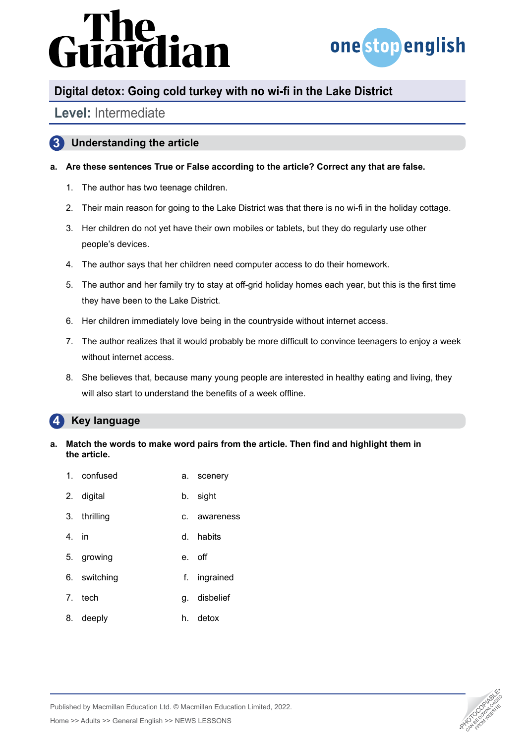# dian



# **Digital detox: Going cold turkey with no wi-fi in the Lake District**

## **Level:** Intermediate

### **3 Understanding the article**

### **a. Are these sentences True or False according to the article? Correct any that are false.**

- 1. The author has two teenage children.
- 2. Their main reason for going to the Lake District was that there is no wi-fi in the holiday cottage.
- 3. Her children do not yet have their own mobiles or tablets, but they do regularly use other people's devices.
- 4. The author says that her children need computer access to do their homework.
- 5. The author and her family try to stay at off-grid holiday homes each year, but this is the first time they have been to the Lake District.
- 6. Her children immediately love being in the countryside without internet access.
- 7. The author realizes that it would probably be more difficult to convince teenagers to enjoy a week without internet access.
- 8. She believes that, because many young people are interested in healthy eating and living, they will also start to understand the benefits of a week offline.

#### **4 Key language**

**a. Match the words to make word pairs from the article. Then find and highlight them in the article.**

| 1. confused | a. scenery |
|-------------|------------|
|             |            |

- 2. digital b. sight
- 3. thrilling c. awareness
- 4. in d. habits
- 5. growing e. off
- 6. switching f. ingrained
- 7. tech q. disbelief
- 8. deeply h. detox



Published by Macmillan Education Ltd. © Macmillan Education Limited, 2022.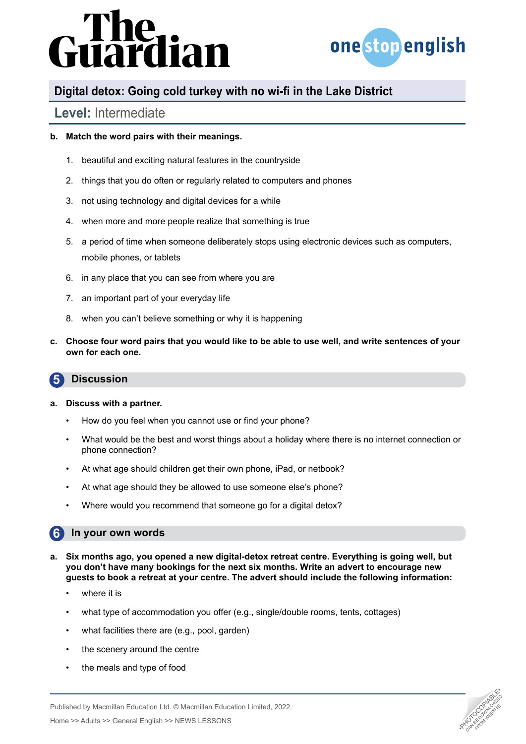# řdian



## **Digital detox: Going cold turkey with no wi-fi in the Lake District**

## **Level:** Intermediate

### **b. Match the word pairs with their meanings.**

- 1. beautiful and exciting natural features in the countryside
- 2. things that you do often or regularly related to computers and phones
- 3. not using technology and digital devices for a while
- 4. when more and more people realize that something is true
- 5. a period of time when someone deliberately stops using electronic devices such as computers, mobile phones, or tablets
- 6. in any place that you can see from where you are
- 7. an important part of your everyday life
- 8. when you can't believe something or why it is happening
- **c. Choose four word pairs that you would like to be able to use well, and write sentences of your own for each one.**

#### **5 Discussion**

#### **a. Discuss with a partner.**

- How do you feel when you cannot use or find your phone?
- What would be the best and worst things about a holiday where there is no internet connection or phone connection?
- At what age should children get their own phone, iPad, or netbook?
- At what age should they be allowed to use someone else's phone?
- Where would you recommend that someone go for a digital detox?

#### **6 In your own words**

- **a. Six months ago, you opened a new digital-detox retreat centre. Everything is going well, but you don't have many bookings for the next six months. Write an advert to encourage new guests to book a retreat at your centre. The advert should include the following information:**
	- where it is
	- what type of accommodation you offer (e.g., single/double rooms, tents, cottages)
	- what facilities there are (e.g., pool, garden)
	- the scenery around the centre
	- the meals and type of food



Home >> Adults >> General English >> NEWS LESSONS